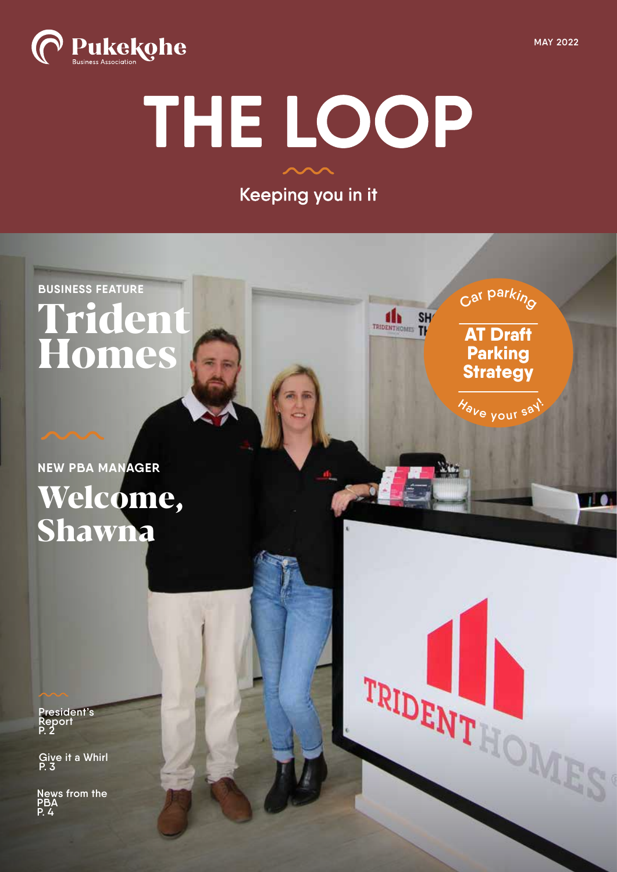

**AT Draft Parking Strategy**

**d** TRIDENTHOMES TH

**<sup>H</sup>av<sup>e</sup> <sup>y</sup>ou<sup>r</sup> <sup>s</sup>ay!**

W

TRIDENT ! OMES

**<sup>C</sup><sup>a</sup><sup>r</sup> <sup>p</sup>arkin<sup>g</sup>**



# THE LOOP

Keeping you in it

**BUSINESS FEATURE Trident Homes**

# **NEW PBA MANAGER Welcome, Shawna**

**President's Report P. 2**

**Give it a Whirl P. 3**

**News from the PBA P. 4**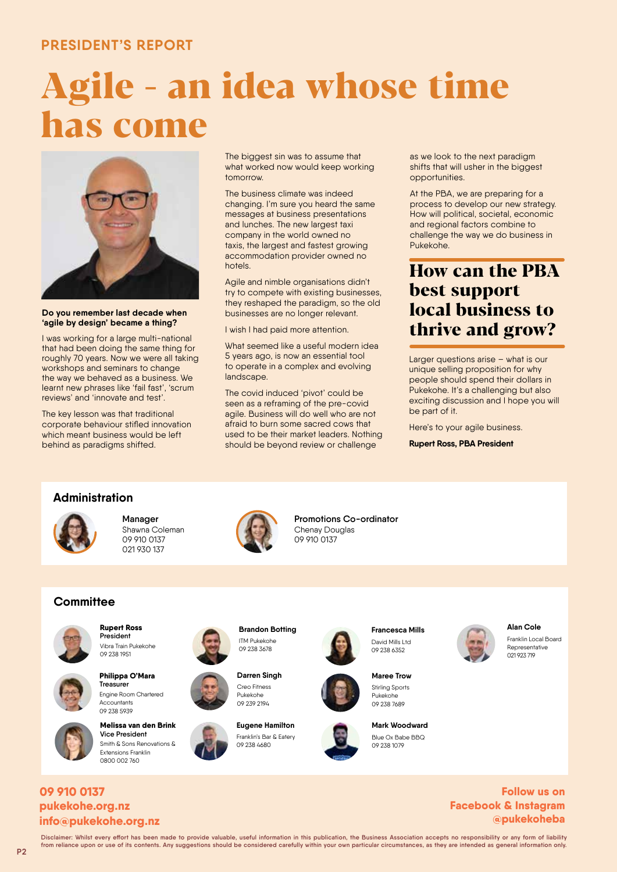### **PRESIDENT'S REPORT**

# **Agile - an idea whose time has come**



**Do you remember last decade when 'agile by design' became a thing?**

I was working for a large multi-national that had been doing the same thing for roughly 70 years. Now we were all taking workshops and seminars to change the way we behaved as a business. We learnt new phrases like 'fail fast', 'scrum reviews' and 'innovate and test'.

The key lesson was that traditional corporate behaviour stifled innovation which meant business would be left behind as paradigms shifted.

The biggest sin was to assume that what worked now would keep working tomorrow.

The business climate was indeed changing. I'm sure you heard the same messages at business presentations and lunches. The new largest taxi company in the world owned no taxis, the largest and fastest growing accommodation provider owned no hotels.

Agile and nimble organisations didn't try to compete with existing businesses, they reshaped the paradigm, so the old businesses are no longer relevant.

I wish I had paid more attention.

What seemed like a useful modern idea 5 years ago, is now an essential tool to operate in a complex and evolving landscape.

The covid induced 'pivot' could be seen as a reframing of the pre-covid agile. Business will do well who are not afraid to burn some sacred cows that used to be their market leaders. Nothing should be beyond review or challenge

as we look to the next paradigm shifts that will usher in the biggest opportunities.

At the PBA, we are preparing for a process to develop our new strategy. How will political, societal, economic and regional factors combine to challenge the way we do business in Pukekohe.

# **How can the PBA best support local business to thrive and grow?**

Larger questions arise – what is our unique selling proposition for why people should spend their dollars in Pukekohe. It's a challenging but also exciting discussion and I hope you will be part of it.

Here's to your agile business.

**Rupert Ross, PBA President**

#### **Administration**



**Manager** Shawna Coleman 09 910 0137 021 930 137



**Promotions Co-ordinator** Chenay Douglas 09 910 0137

## **Committee Committee**



**Rupert Ross President** Vibra Train Pukekohe 09 238 1951



**Philippa O'Mara Treasurer** Engine Room Chartered Accountants 09 238 5939

**Melissa van den Brink Vice President** Smith & Sons Renovations & Extensions Franklin 0800 002 760



ITM Pukekohe 09 238 3678

**Darren Singh** Creo Fitness Pukekohe 09 239 2194



**Francesca Mills** David Mills Ltd 00 238 6352



**Maree Trow** Stirling Sports Pukekohe 09 238 7689





Franklin Local Board Representative 021 923 719

**Alan Cole**

#### **info@pukekohe.org.nz pukekohe.org.nz 09 910 0137 Follow us on**

**@pukekoheba Facebook & Instagram**

**Disclaimer: Whilst every effort has been made to provide valuable, useful information in this publication, the Business Association accepts no responsibility or any form of liability from reliance upon or use of its contents. Any suggestions should be considered carefully within your own particular circumstances, as they are intended as general information only.**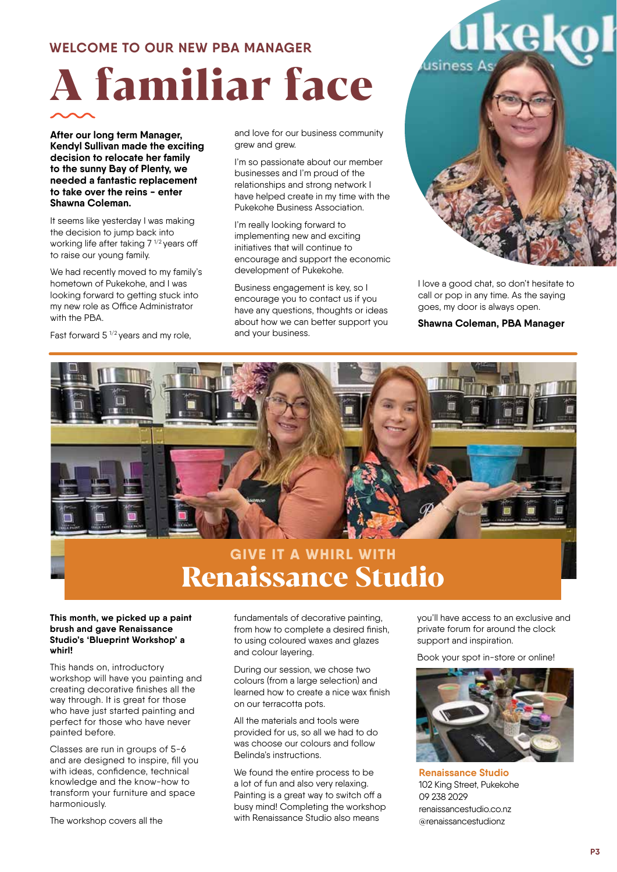#### **WELCOME TO OUR NEW PBA MANAGER**

# **A familiar face**

**After our long term Manager, Kendyl Sullivan made the exciting decision to relocate her family to the sunny Bay of Plenty, we needed a fantastic replacement to take over the reins - enter Shawna Coleman.** 

It seems like yesterday I was making the decision to jump back into working life after taking  $7^{1/2}$  years off to raise our young family.

We had recently moved to my family's hometown of Pukekohe, and I was looking forward to getting stuck into my new role as Office Administrator with the PBA.

Fast forward  $5^{1/2}$  years and my role,

and love for our business community grew and grew.

I'm so passionate about our member businesses and I'm proud of the relationships and strong network I have helped create in my time with the Pukekohe Business Association.

I'm really looking forward to implementing new and exciting initiatives that will continue to encourage and support the economic development of Pukekohe.

Business engagement is key, so I encourage you to contact us if you have any questions, thoughts or ideas about how we can better support you and your business.



I love a good chat, so don't hesitate to call or pop in any time. As the saying goes, my door is always open.

**Shawna Coleman, PBA Manager**



# **GIVE IT A WHIRL WITH Renaissance Studio**

#### **This month, we picked up a paint brush and gave Renaissance Studio's 'Blueprint Workshop' a whirl!**

This hands on, introductory workshop will have you painting and creating decorative finishes all the way through. It is great for those who have just started painting and perfect for those who have never painted before.

Classes are run in groups of 5-6 and are designed to inspire, fill you with ideas, confidence, technical knowledge and the know-how to transform your furniture and space harmoniously.

The workshop covers all the

fundamentals of decorative painting, from how to complete a desired finish, to using coloured waxes and glazes and colour layering.

During our session, we chose two colours (from a large selection) and learned how to create a nice wax finish on our terracotta pots.

All the materials and tools were provided for us, so all we had to do was choose our colours and follow Belinda's instructions.

We found the entire process to be a lot of fun and also very relaxing. Painting is a great way to switch off a busy mind! Completing the workshop with Renaissance Studio also means

you'll have access to an exclusive and private forum for around the clock support and inspiration.

Book your spot in-store or online!



**Renaissance Studio** 102 King Street, Pukekohe 09 238 2029 renaissancestudio.co.nz @renaissancestudionz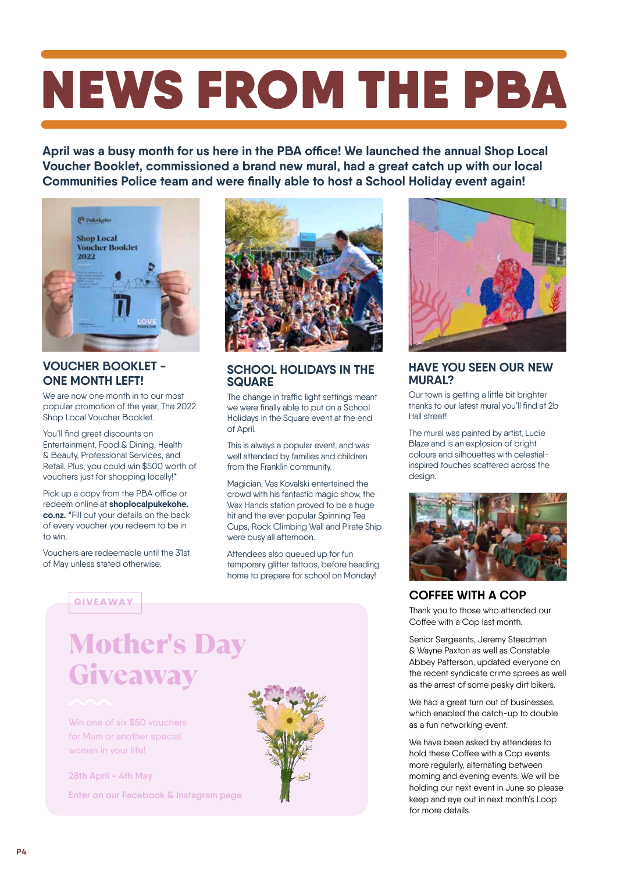# NEWS FROM THE PBA

**April was a busy month for us here in the PBA office! We launched the annual Shop Local Voucher Booklet, commissioned a brand new mural, had a great catch up with our local Communities Police team and were finally able to host a School Holiday event again!**



#### **VOUCHER BOOKLET - ONE MONTH LEFT!**

We are now one month in to our most popular promotion of the year, The 2022 Shop Local Voucher Booklet.

You'll find great discounts on Entertainment, Food & Dining, Health & Beauty, Professional Services, and Retail. Plus, you could win \$500 worth of vouchers just for shopping locally!\*

Pick up a copy from the PBA office or redeem online at **shoplocalpukekohe. co.nz. \***Fill out your details on the back of every voucher you redeem to be in to win.

Vouchers are redeemable until the 31st of May unless stated otherwise.



#### **SCHOOL HOLIDAYS IN THE SQUARE**

The change in traffic light settings meant we were finally able to put on a School Holidays in the Square event at the end of April.

This is always a popular event, and was well attended by families and children from the Franklin community.

Magician, Vas Kovalski entertained the crowd with his fantastic magic show, the Wax Hands station proved to be a huge hit and the ever popular Spinning Tea Cups, Rock Climbing Wall and Pirate Ship were busy all afternoon.

Attendees also queued up for fun temporary glitter tattoos, before heading home to prepare for school on Monday!

#### GIVEAWAY

# Mother's Day **Giveaway**

Win one of six \$50 vouchers for Mum or another special woman in your life!

**28th April - 4th May Enter on our Facebook & Instagram page**





#### **HAVE YOU SEEN OUR NEW MURAL?**

Our town is getting a little bit brighter thanks to our latest mural you'll find at 2b Hall street!

The mural was painted by artist, Lucie Blaze and is an explosion of bright colours and silhouettes with celestialinspired touches scattered across the design.



#### **COFFEE WITH A COP**

Thank you to those who attended our Coffee with a Cop last month.

Senior Sergeants, Jeremy Steedman & Wayne Paxton as well as Constable Abbey Patterson, updated everyone on the recent syndicate crime sprees as well as the arrest of some pesky dirt bikers.

We had a great turn out of businesses, which enabled the catch-up to double as a fun networking event.

We have been asked by attendees to hold these Coffee with a Cop events more regularly, alternating between morning and evening events. We will be holding our next event in June so please keep and eye out in next month's Loop for more details.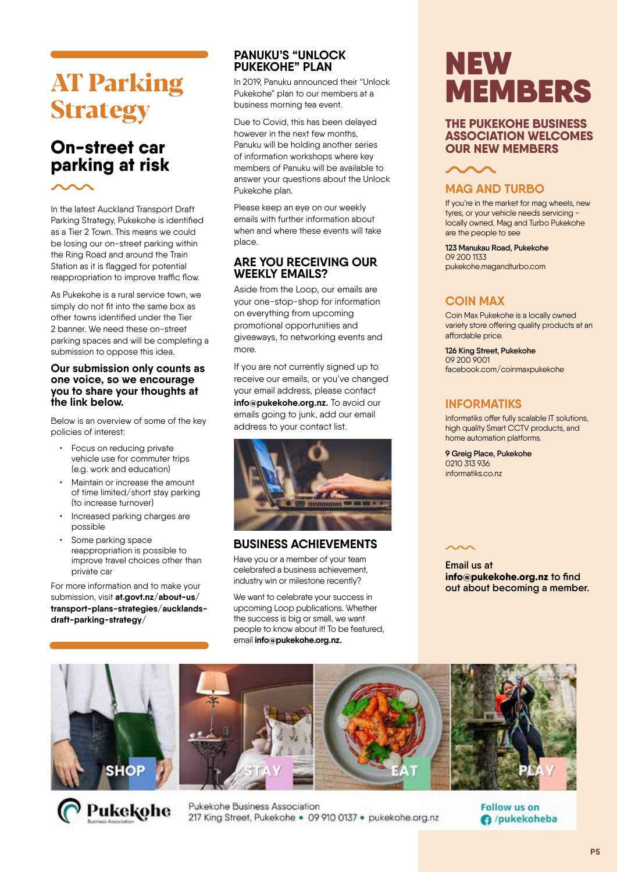# **AT Parking Strategy**

## **On-street car parking at risk**

In the latest Auckland Transport Draft Parking Strategy, Pukekohe is identified as a Tier 2 Town. This means we could be losing our on-street parking within the Ring Road and around the Train Station as it is flagged for potential reappropriation to improve traffic flow.

As Pukekohe is a rural service town, we simply do not fit into the same box as other towns identified under the Tier 2 banner. We need these on-street parking spaces and will be completing a submission to oppose this idea.

#### **Our submission only counts as one voice, so we encourage you to share your thoughts at the link below.**

Below is an overview of some of the key policies of interest:

- Focus on reducing private vehicle use for commuter trips (e.g. work and education)
- Maintain or increase the amount of time limited/short stay parking (to increase turnover)
- Increased parking charges are possible
- Some parking space reappropriation is possible to improve travel choices other than private car

For more information and to make your submission, visit **at.govt.nz/about-us/ transport-plans-strategies/aucklandsdraft-parking-strategy/**

#### **PANUKU'S "UNLOCK PUKEKOHE" PLAN**

In 2019, Panuku announced their "Unlock Pukekohe" plan to our members at a business morning tea event.

Due to Covid, this has been delayed however in the next few months, Panuku will be holding another series of information workshops where key members of Panuku will be available to answer your questions about the Unlock Pukekohe plan.

Please keep an eye on our weekly emails with further information about when and where these events will take place.

#### **ARE YOU RECEIVING OUR WEEKLY EMAILS?**

Aside from the Loop, our emails are your one-stop-shop for information on everything from upcoming promotional opportunities and giveaways, to networking events and more.

If you are not currently signed up to receive our emails, or you've changed your email address, please contact **info@pukekohe.org.nz.** To avoid our emails going to junk, add our email address to your contact list.



#### **BUSINESS ACHIEVEMENTS**

Have you or a member of your team celebrated a business achievement, industry win or milestone recently?

We want to celebrate your success in upcoming Loop publications. Whether the success is big or small, we want people to know about it! To be featured, email **info@pukekohe.org.nz.**

# NEW MEMBERS

#### **THE PUKEKOHE BUSINESS ASSOCIATION WELCOMES OUR NEW MEMBERS**



#### **MAG AND TURBO**

If you're in the market for mag wheels, new tyres, or your vehicle needs servicing locally owned, Mag and Turbo Pukekohe are the people to see

**123 Manukau Road, Pukekohe**  09 200 1133 pukekohe.magandturbo.com

#### **COIN MAX**

Coin Max Pukekohe is a locally owned variety store offering quality products at an affordable price.

**126 King Street, Pukekohe**  09 200 9001 facebook.com/coinmaxpukekohe

#### **INFORMATIKS**

Informatiks offer fully scalable IT solutions, high quality Smart CCTV products, and home automation platforms.

**9 Greig Place, Pukekohe** 0210 313 936 informatiks.co.nz

**Email us at info@pukekohe.org.nz to find out about becoming a member.**





Pukekohe Business Association 217 King Street, Pukekohe . 09 910 0137 . pukekohe.org.nz **Follow us on** O /pukekoheba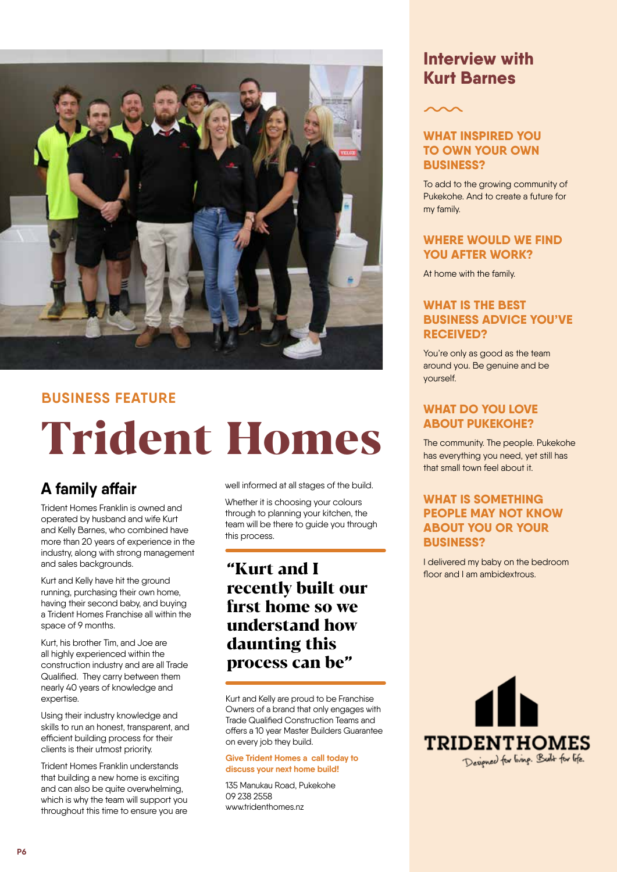

#### **BUSINESS FEATURE**

# **Trident Homes**

# **A family affair**

Trident Homes Franklin is owned and operated by husband and wife Kurt and Kelly Barnes, who combined have more than 20 years of experience in the industry, along with strong management and sales backgrounds.

Kurt and Kelly have hit the ground running, purchasing their own home, having their second baby, and buying a Trident Homes Franchise all within the space of 9 months.

Kurt, his brother Tim, and Joe are all highly experienced within the construction industry and are all Trade Qualified. They carry between them nearly 40 years of knowledge and expertise.

Using their industry knowledge and skills to run an honest, transparent, and efficient building process for their clients is their utmost priority.

Trident Homes Franklin understands that building a new home is exciting and can also be quite overwhelming, which is why the team will support you throughout this time to ensure you are

well informed at all stages of the build.

Whether it is choosing your colours through to planning your kitchen, the team will be there to guide you through this process.

## **"Kurt and I recently built our first home so we understand how daunting this process can be"**

Kurt and Kelly are proud to be Franchise Owners of a brand that only engages with Trade Qualified Construction Teams and offers a 10 year Master Builders Guarantee on every job they build.

#### **Give Trident Homes a call today to discuss your next home build!**

135 Manukau Road, Pukekohe 09 238 2558 www.tridenthomes.nz

## **Interview with Kurt Barnes**

#### **WHAT INSPIRED YOU TO OWN YOUR OWN BUSINESS?**

To add to the growing community of Pukekohe. And to create a future for my family.

#### **WHERE WOULD WE FIND YOU AFTER WORK?**

At home with the family.

#### **WHAT IS THE BEST BUSINESS ADVICE YOU'VE RECEIVED?**

You're only as good as the team around you. Be genuine and be yourself.

#### **WHAT DO YOU LOVE ABOUT PUKEKOHE?**

The community. The people. Pukekohe has everything you need, yet still has that small town feel about it.

#### **WHAT IS SOMETHING PEOPLE MAY NOT KNOW ABOUT YOU OR YOUR BUSINESS?**

I delivered my baby on the bedroom floor and I am ambidextrous.

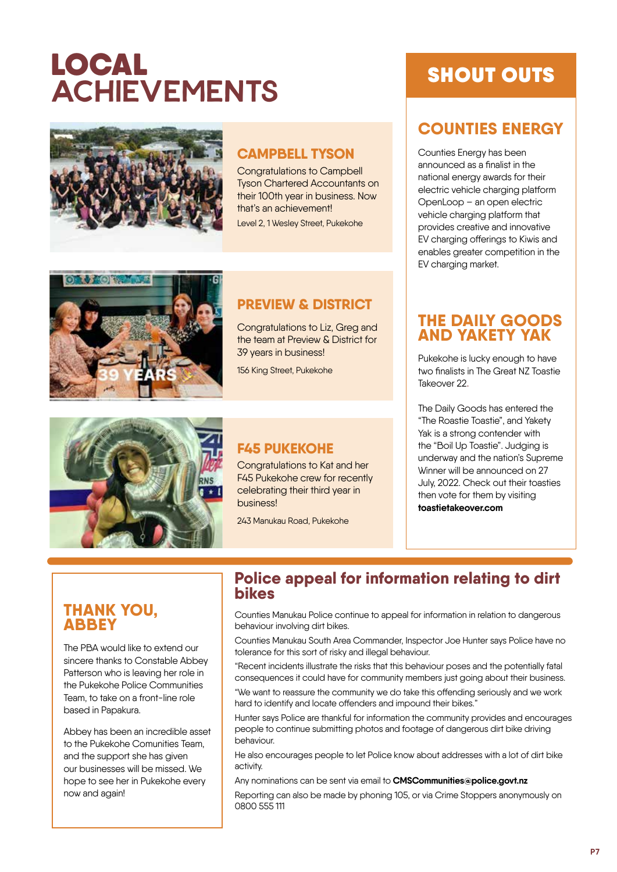# LOCAL **ACHIEVEMENTS**



## **CAMPBELL TYSON**

Congratulations to Campbell Tyson Chartered Accountants on their 100th year in business. Now that's an achievement!

Level 2, 1 Wesley Street, Pukekohe



### **PREVIEW & DISTRICT**

Congratulations to Liz, Greg and the team at Preview & District for 39 years in business!

156 King Street, Pukekohe



### **F45 PUKEKOHE**

Congratulations to Kat and her F45 Pukekohe crew for recently celebrating their third year in business!

243 Manukau Road, Pukekohe

# SHOUT OUTS

# **COUNTIES ENERGY**

Counties Energy has been announced as a finalist in the national energy awards for their electric vehicle charging platform OpenLoop – an open electric vehicle charging platform that provides creative and innovative EV charging offerings to Kiwis and enables greater competition in the EV charging market.

### **THE DAILY GOODS AND YAKETY YAK**

Pukekohe is lucky enough to have two finalists in The Great NZ Toastie Takeover 22.

The Daily Goods has entered the "The Roastie Toastie", and Yakety Yak is a strong contender with the "Boil Up Toastie". Judging is underway and the nation's Supreme Winner will be announced on 27 July, 2022. Check out their toasties then vote for them by visiting **toastietakeover.com**

### **THANK YOU, ABBEY**

The PBA would like to extend our sincere thanks to Constable Abbey Patterson who is leaving her role in the Pukekohe Police Communities Team, to take on a front-line role based in Papakura.

Abbey has been an incredible asset to the Pukekohe Comunities Team, and the support she has given our businesses will be missed. We hope to see her in Pukekohe every now and again!

#### **Police appeal for information relating to dirt bikes**

Counties Manukau Police continue to appeal for information in relation to dangerous behaviour involving dirt bikes.

Counties Manukau South Area Commander, Inspector Joe Hunter says Police have no tolerance for this sort of risky and illegal behaviour.

"Recent incidents illustrate the risks that this behaviour poses and the potentially fatal consequences it could have for community members just going about their business.

"We want to reassure the community we do take this offending seriously and we work hard to identify and locate offenders and impound their bikes."

Hunter says Police are thankful for information the community provides and encourages people to continue submitting photos and footage of dangerous dirt bike driving behaviour.

He also encourages people to let Police know about addresses with a lot of dirt bike activity.

Any nominations can be sent via email to **CMSCommunities@police.govt.nz** 

Reporting can also be made by phoning 105, or via Crime Stoppers anonymously on 0800 555 111